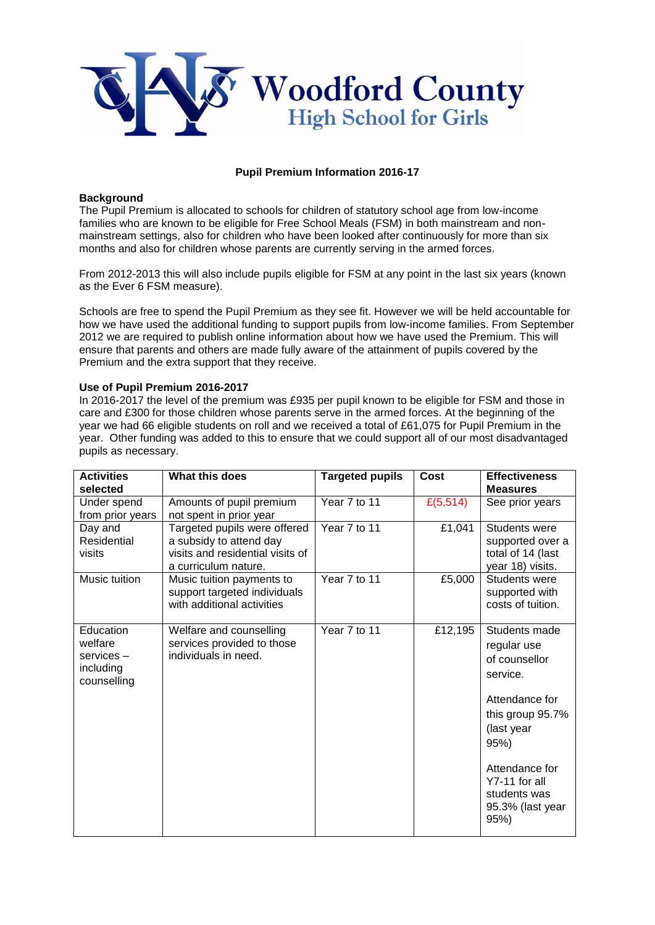

# **Pupil Premium Information 2016-17**

#### **Background**

The Pupil Premium is allocated to schools for children of statutory school age from low-income families who are known to be eligible for Free School Meals (FSM) in both mainstream and nonmainstream settings, also for children who have been looked after continuously for more than six months and also for children whose parents are currently serving in the armed forces.

From 2012-2013 this will also include pupils eligible for FSM at any point in the last six years (known as the Ever 6 FSM measure).

Schools are free to spend the Pupil Premium as they see fit. However we will be held accountable for how we have used the additional funding to support pupils from low-income families. From September 2012 we are required to publish online information about how we have used the Premium. This will ensure that parents and others are made fully aware of the attainment of pupils covered by the Premium and the extra support that they receive.

#### **Use of Pupil Premium 2016-2017**

In 2016-2017 the level of the premium was £935 per pupil known to be eligible for FSM and those in care and £300 for those children whose parents serve in the armed forces. At the beginning of the year we had 66 eligible students on roll and we received a total of £61,075 for Pupil Premium in the year. Other funding was added to this to ensure that we could support all of our most disadvantaged pupils as necessary.

| <b>Activities</b><br>selected                                 | What this does                                                                                                      | <b>Targeted pupils</b> | Cost     | <b>Effectiveness</b><br><b>Measures</b>                                                                                                                                                              |
|---------------------------------------------------------------|---------------------------------------------------------------------------------------------------------------------|------------------------|----------|------------------------------------------------------------------------------------------------------------------------------------------------------------------------------------------------------|
| Under spend<br>from prior years                               | Amounts of pupil premium<br>not spent in prior year                                                                 | Year 7 to 11           | £(5,514) | See prior years                                                                                                                                                                                      |
| Day and<br>Residential<br>visits                              | Targeted pupils were offered<br>a subsidy to attend day<br>visits and residential visits of<br>a curriculum nature. | Year 7 to 11           | £1,041   | Students were<br>supported over a<br>total of 14 (last<br>year 18) visits.                                                                                                                           |
| Music tuition                                                 | Music tuition payments to<br>support targeted individuals<br>with additional activities                             | Year 7 to 11           | £5,000   | Students were<br>supported with<br>costs of tuition.                                                                                                                                                 |
| Education<br>welfare<br>services-<br>including<br>counselling | Welfare and counselling<br>services provided to those<br>individuals in need.                                       | Year 7 to 11           | £12,195  | Students made<br>regular use<br>of counsellor<br>service.<br>Attendance for<br>this group 95.7%<br>(last year<br>95%)<br>Attendance for<br>Y7-11 for all<br>students was<br>95.3% (last year<br>95%) |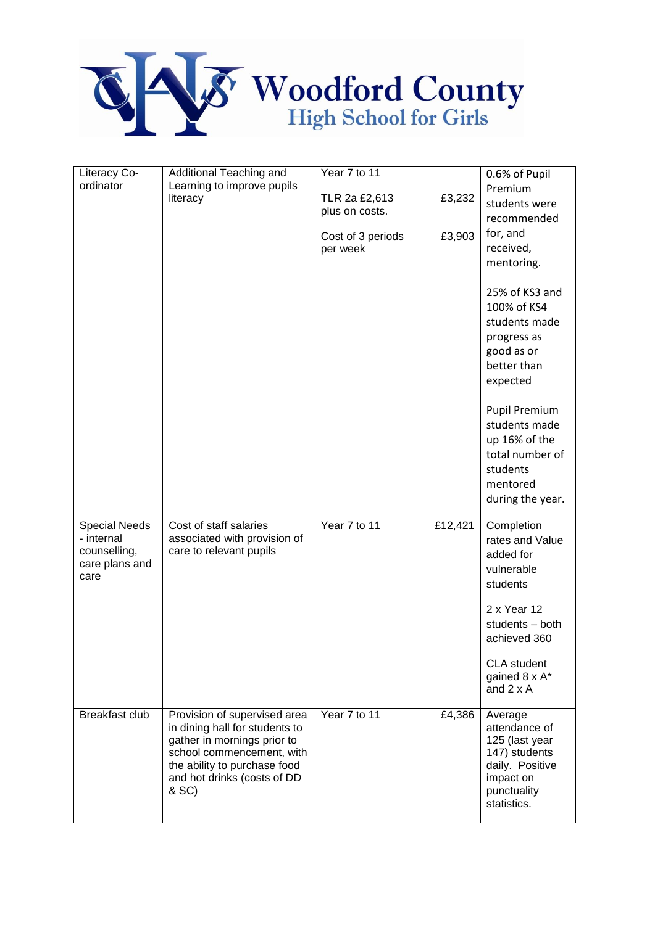

| Literacy Co-                                                  | Additional Teaching and                                                                                                                                                                            | Year 7 to 11      |         | 0.6% of Pupil                                                                                                                                                                                                                   |
|---------------------------------------------------------------|----------------------------------------------------------------------------------------------------------------------------------------------------------------------------------------------------|-------------------|---------|---------------------------------------------------------------------------------------------------------------------------------------------------------------------------------------------------------------------------------|
| ordinator                                                     | Learning to improve pupils                                                                                                                                                                         |                   |         | Premium                                                                                                                                                                                                                         |
|                                                               | literacy                                                                                                                                                                                           | TLR 2a £2,613     | £3,232  | students were                                                                                                                                                                                                                   |
|                                                               |                                                                                                                                                                                                    | plus on costs.    |         | recommended                                                                                                                                                                                                                     |
|                                                               |                                                                                                                                                                                                    | Cost of 3 periods | £3,903  | for, and                                                                                                                                                                                                                        |
|                                                               |                                                                                                                                                                                                    | per week          |         | received,                                                                                                                                                                                                                       |
|                                                               |                                                                                                                                                                                                    |                   |         | mentoring.                                                                                                                                                                                                                      |
|                                                               |                                                                                                                                                                                                    |                   |         | 25% of KS3 and<br>100% of KS4<br>students made<br>progress as<br>good as or<br>better than<br>expected<br><b>Pupil Premium</b><br>students made<br>up 16% of the<br>total number of<br>students<br>mentored<br>during the year. |
| Special Needs<br>- internal<br>counselling,<br>care plans and | Cost of staff salaries<br>associated with provision of<br>care to relevant pupils                                                                                                                  | Year 7 to 11      | £12,421 | Completion<br>rates and Value<br>added for                                                                                                                                                                                      |
| care                                                          |                                                                                                                                                                                                    |                   |         | vulnerable<br>students                                                                                                                                                                                                          |
|                                                               |                                                                                                                                                                                                    |                   |         | 2 x Year 12<br>students - both<br>achieved 360                                                                                                                                                                                  |
|                                                               |                                                                                                                                                                                                    |                   |         | <b>CLA</b> student<br>gained 8 x A*<br>and $2 \times A$                                                                                                                                                                         |
| Breakfast club                                                | Provision of supervised area<br>in dining hall for students to<br>gather in mornings prior to<br>school commencement, with<br>the ability to purchase food<br>and hot drinks (costs of DD<br>& SC) | Year 7 to 11      | £4,386  | Average<br>attendance of<br>125 (last year<br>147) students<br>daily. Positive<br>impact on<br>punctuality<br>statistics.                                                                                                       |